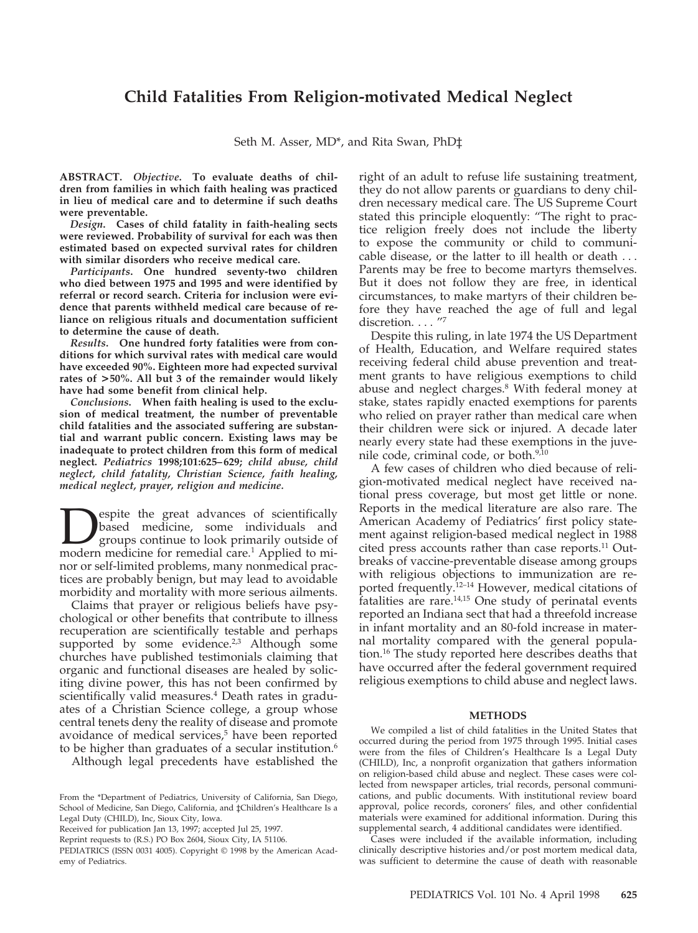# **Child Fatalities From Religion-motivated Medical Neglect**

Seth M. Asser, MD\*, and Rita Swan, PhD‡

**ABSTRACT.** *Objective***. To evaluate deaths of children from families in which faith healing was practiced in lieu of medical care and to determine if such deaths were preventable.**

*Design***. Cases of child fatality in faith-healing sects were reviewed. Probability of survival for each was then estimated based on expected survival rates for children with similar disorders who receive medical care.**

*Participants***. One hundred seventy-two children who died between 1975 and 1995 and were identified by referral or record search. Criteria for inclusion were evidence that parents withheld medical care because of reliance on religious rituals and documentation sufficient to determine the cause of death.**

*Results***. One hundred forty fatalities were from conditions for which survival rates with medical care would have exceeded 90%. Eighteen more had expected survival rates of >50%. All but 3 of the remainder would likely have had some benefit from clinical help.**

*Conclusions***. When faith healing is used to the exclusion of medical treatment, the number of preventable child fatalities and the associated suffering are substantial and warrant public concern. Existing laws may be inadequate to protect children from this form of medical neglect.** *Pediatrics* **1998;101:625–629;** *child abuse, child neglect, child fatality, Christian Science, faith healing, medical neglect, prayer, religion and medicine.*

**Despite the great advances of scientifically**<br>based medicine, some individuals and<br>groups continue to look primarily outside of<br>modern medicine for remedial care.<sup>1</sup> Applied to mibased medicine, some individuals and groups continue to look primarily outside of modern medicine for remedial care.<sup>1</sup> Applied to minor or self-limited problems, many nonmedical practices are probably benign, but may lead to avoidable morbidity and mortality with more serious ailments.

Claims that prayer or religious beliefs have psychological or other benefits that contribute to illness recuperation are scientifically testable and perhaps supported by some evidence.<sup>2,3</sup> Although some churches have published testimonials claiming that organic and functional diseases are healed by soliciting divine power, this has not been confirmed by scientifically valid measures.<sup>4</sup> Death rates in graduates of a Christian Science college, a group whose central tenets deny the reality of disease and promote avoidance of medical services,<sup>5</sup> have been reported to be higher than graduates of a secular institution.<sup>6</sup>

Although legal precedents have established the

right of an adult to refuse life sustaining treatment, they do not allow parents or guardians to deny children necessary medical care. The US Supreme Court stated this principle eloquently: "The right to practice religion freely does not include the liberty to expose the community or child to communicable disease, or the latter to ill health or death . . . Parents may be free to become martyrs themselves. But it does not follow they are free, in identical circumstances, to make martyrs of their children before they have reached the age of full and legal discretion. . . . "7

Despite this ruling, in late 1974 the US Department of Health, Education, and Welfare required states receiving federal child abuse prevention and treatment grants to have religious exemptions to child abuse and neglect charges.8 With federal money at stake, states rapidly enacted exemptions for parents who relied on prayer rather than medical care when their children were sick or injured. A decade later nearly every state had these exemptions in the juvenile code, criminal code, or both.9,10

A few cases of children who died because of religion-motivated medical neglect have received national press coverage, but most get little or none. Reports in the medical literature are also rare. The American Academy of Pediatrics' first policy statement against religion-based medical neglect in 1988 cited press accounts rather than case reports.<sup>11</sup> Outbreaks of vaccine-preventable disease among groups with religious objections to immunization are reported frequently.<sup>12-14</sup> However, medical citations of fatalities are rare.14,15 One study of perinatal events reported an Indiana sect that had a threefold increase in infant mortality and an 80-fold increase in maternal mortality compared with the general population.16 The study reported here describes deaths that have occurred after the federal government required religious exemptions to child abuse and neglect laws.

#### **METHODS**

We compiled a list of child fatalities in the United States that occurred during the period from 1975 through 1995. Initial cases were from the files of Children's Healthcare Is a Legal Duty (CHILD), Inc, a nonprofit organization that gathers information on religion-based child abuse and neglect. These cases were collected from newspaper articles, trial records, personal communications, and public documents. With institutional review board approval, police records, coroners' files, and other confidential materials were examined for additional information. During this supplemental search, 4 additional candidates were identified.

Cases were included if the available information, including clinically descriptive histories and/or post mortem medical data, was sufficient to determine the cause of death with reasonable

From the \*Department of Pediatrics, University of California, San Diego, School of Medicine, San Diego, California, and ‡Children's Healthcare Is a Legal Duty (CHILD), Inc, Sioux City, Iowa.

Received for publication Jan 13, 1997; accepted Jul 25, 1997.

Reprint requests to (R.S.) PO Box 2604, Sioux City, IA 51106.

PEDIATRICS (ISSN 0031 4005). Copyright © 1998 by the American Academy of Pediatrics.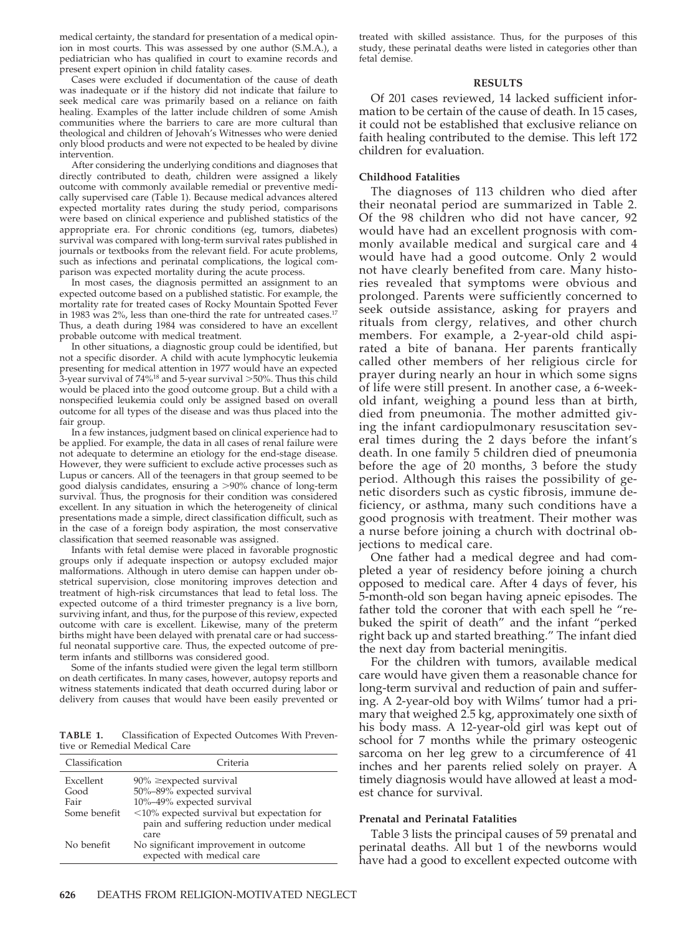medical certainty, the standard for presentation of a medical opinion in most courts. This was assessed by one author (S.M.A.), a pediatrician who has qualified in court to examine records and present expert opinion in child fatality cases.

Cases were excluded if documentation of the cause of death was inadequate or if the history did not indicate that failure to seek medical care was primarily based on a reliance on faith healing. Examples of the latter include children of some Amish communities where the barriers to care are more cultural than theological and children of Jehovah's Witnesses who were denied only blood products and were not expected to be healed by divine intervention.

After considering the underlying conditions and diagnoses that directly contributed to death, children were assigned a likely outcome with commonly available remedial or preventive medically supervised care (Table 1). Because medical advances altered expected mortality rates during the study period, comparisons were based on clinical experience and published statistics of the appropriate era. For chronic conditions (eg, tumors, diabetes) survival was compared with long-term survival rates published in journals or textbooks from the relevant field. For acute problems, such as infections and perinatal complications, the logical comparison was expected mortality during the acute process.

In most cases, the diagnosis permitted an assignment to an expected outcome based on a published statistic. For example, the mortality rate for treated cases of Rocky Mountain Spotted Fever in 1983 was 2%, less than one-third the rate for untreated cases.17 Thus, a death during 1984 was considered to have an excellent probable outcome with medical treatment.

In other situations, a diagnostic group could be identified, but not a specific disorder. A child with acute lymphocytic leukemia presenting for medical attention in 1977 would have an expected  $3$ -year survival of 74%<sup>18</sup> and 5-year survival  $>50$ %. Thus this child would be placed into the good outcome group. But a child with a nonspecified leukemia could only be assigned based on overall outcome for all types of the disease and was thus placed into the fair group.

In a few instances, judgment based on clinical experience had to be applied. For example, the data in all cases of renal failure were not adequate to determine an etiology for the end-stage disease. However, they were sufficient to exclude active processes such as Lupus or cancers. All of the teenagers in that group seemed to be good dialysis candidates, ensuring a >90% chance of long-term survival. Thus, the prognosis for their condition was considered excellent. In any situation in which the heterogeneity of clinical presentations made a simple, direct classification difficult, such as in the case of a foreign body aspiration, the most conservative classification that seemed reasonable was assigned.

Infants with fetal demise were placed in favorable prognostic groups only if adequate inspection or autopsy excluded major malformations. Although in utero demise can happen under obstetrical supervision, close monitoring improves detection and treatment of high-risk circumstances that lead to fetal loss. The expected outcome of a third trimester pregnancy is a live born, surviving infant, and thus, for the purpose of this review, expected outcome with care is excellent. Likewise, many of the preterm births might have been delayed with prenatal care or had successful neonatal supportive care. Thus, the expected outcome of preterm infants and stillborns was considered good.

Some of the infants studied were given the legal term stillborn on death certificates. In many cases, however, autopsy reports and witness statements indicated that death occurred during labor or delivery from causes that would have been easily prevented or

**TABLE 1.** Classification of Expected Outcomes With Preventive or Remedial Medical Care

| Classification | Criteria                                                                                               |
|----------------|--------------------------------------------------------------------------------------------------------|
| Excellent      | $90\% \geq$ expected survival                                                                          |
| Good           | 50%-89% expected survival                                                                              |
| Fair           | 10%-49% expected survival                                                                              |
| Some benefit   | $\leq$ 10% expected survival but expectation for<br>pain and suffering reduction under medical<br>care |
| No benefit     | No significant improvement in outcome<br>expected with medical care                                    |

treated with skilled assistance. Thus, for the purposes of this study, these perinatal deaths were listed in categories other than fetal demise.

# **RESULTS**

Of 201 cases reviewed, 14 lacked sufficient information to be certain of the cause of death. In 15 cases, it could not be established that exclusive reliance on faith healing contributed to the demise. This left 172 children for evaluation.

# **Childhood Fatalities**

The diagnoses of 113 children who died after their neonatal period are summarized in Table 2. Of the 98 children who did not have cancer, 92 would have had an excellent prognosis with commonly available medical and surgical care and 4 would have had a good outcome. Only 2 would not have clearly benefited from care. Many histories revealed that symptoms were obvious and prolonged. Parents were sufficiently concerned to seek outside assistance, asking for prayers and rituals from clergy, relatives, and other church members. For example, a 2-year-old child aspirated a bite of banana. Her parents frantically called other members of her religious circle for prayer during nearly an hour in which some signs of life were still present. In another case, a 6-weekold infant, weighing a pound less than at birth, died from pneumonia. The mother admitted giving the infant cardiopulmonary resuscitation several times during the 2 days before the infant's death. In one family 5 children died of pneumonia before the age of 20 months, 3 before the study period. Although this raises the possibility of genetic disorders such as cystic fibrosis, immune deficiency, or asthma, many such conditions have a good prognosis with treatment. Their mother was a nurse before joining a church with doctrinal objections to medical care.

One father had a medical degree and had completed a year of residency before joining a church opposed to medical care. After 4 days of fever, his 5-month-old son began having apneic episodes. The father told the coroner that with each spell he "rebuked the spirit of death" and the infant "perked right back up and started breathing." The infant died the next day from bacterial meningitis.

For the children with tumors, available medical care would have given them a reasonable chance for long-term survival and reduction of pain and suffering. A 2-year-old boy with Wilms' tumor had a primary that weighed 2.5 kg, approximately one sixth of his body mass. A 12-year-old girl was kept out of school for 7 months while the primary osteogenic sarcoma on her leg grew to a circumference of 41 inches and her parents relied solely on prayer. A timely diagnosis would have allowed at least a modest chance for survival.

# **Prenatal and Perinatal Fatalities**

Table 3 lists the principal causes of 59 prenatal and perinatal deaths. All but 1 of the newborns would have had a good to excellent expected outcome with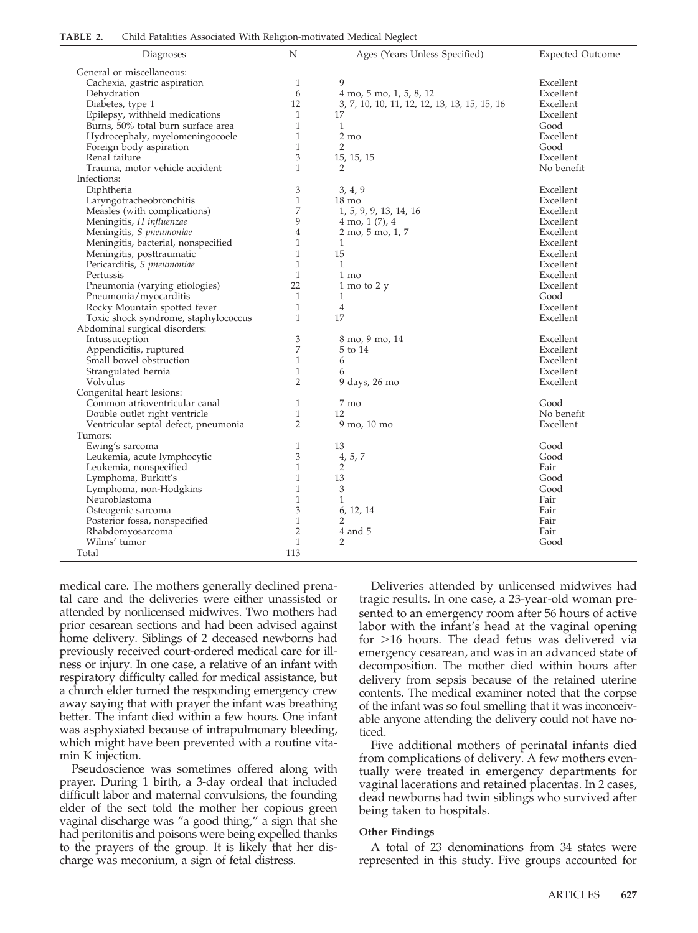|                                      | ပ              |                                              |                         |
|--------------------------------------|----------------|----------------------------------------------|-------------------------|
| Diagnoses                            | N              | Ages (Years Unless Specified)                | <b>Expected Outcome</b> |
| General or miscellaneous:            |                |                                              |                         |
| Cachexia, gastric aspiration         | $\mathbf{1}$   | 9                                            | Excellent               |
| Dehydration                          | 6              | 4 mo, 5 mo, 1, 5, 8, 12                      | Excellent               |
| Diabetes, type 1                     | 12             | 3, 7, 10, 10, 11, 12, 12, 13, 13, 15, 15, 16 | Excellent               |
| Epilepsy, withheld medications       | $\mathbf{1}$   | 17                                           | Excellent               |
| Burns, 50% total burn surface area   | 1              | $\mathbf{1}$                                 | Good                    |
| Hydrocephaly, myelomeningocoele      | $\mathbf{1}$   | 2 mo                                         | Excellent               |
| Foreign body aspiration              | $\mathbf{1}$   | 2                                            | Good                    |
| Renal failure                        | 3              | 15, 15, 15                                   | Excellent               |
| Trauma, motor vehicle accident       | $\mathbf{1}$   | 2                                            | No benefit              |
| Infections:                          |                |                                              |                         |
| Diphtheria                           | 3              | 3, 4, 9                                      | Excellent               |
| Laryngotracheobronchitis             | $\mathbf{1}$   | $18 \text{ mo}$                              | Excellent               |
| Measles (with complications)         | 7              | 1, 5, 9, 9, 13, 14, 16                       | Excellent               |
| Meningitis, H influenzae             | 9              | $4 \text{ mo}, 1 (7), 4$                     | Excellent               |
| Meningitis, S pneumoniae             | 4              | 2 mo, 5 mo, 1, 7                             | Excellent               |
| Meningitis, bacterial, nonspecified  | 1              | 1                                            | Excellent               |
| Meningitis, posttraumatic            | 1              | 15                                           | Excellent               |
| Pericarditis, S pneumoniae           | $\mathbf{1}$   | $\mathbf{1}$                                 | Excellent               |
| Pertussis                            | $\mathbf{1}$   | 1 mo                                         | Excellent               |
| Pneumonia (varying etiologies)       | 22             | $1 \text{ mo}$ to $2 \text{ y}$              | Excellent               |
| Pneumonia/myocarditis                | $\mathbf{1}$   | $\mathbf{1}$                                 | Good                    |
| Rocky Mountain spotted fever         | 1              | 4                                            | Excellent               |
| Toxic shock syndrome, staphylococcus | $\mathbf{1}$   | 17                                           | Excellent               |
| Abdominal surgical disorders:        |                |                                              |                         |
| Intussuception                       | 3              | 8 mo, 9 mo, 14                               | Excellent               |
| Appendicitis, ruptured               | 7              | 5 to 14                                      | Excellent               |
| Small bowel obstruction              | $\mathbf{1}$   | 6                                            | Excellent               |
| Strangulated hernia                  | 1              | 6                                            | Excellent               |
| Volvulus                             | $\overline{2}$ | 9 days, 26 mo                                | Excellent               |
| Congenital heart lesions:            |                |                                              |                         |
| Common atrioventricular canal        | 1              | 7 mo                                         | Good                    |
| Double outlet right ventricle        | $\mathbf{1}$   | 12                                           | No benefit              |
| Ventricular septal defect, pneumonia | $\overline{2}$ | 9 mo, 10 mo                                  | Excellent               |
| Tumors:                              |                |                                              |                         |
| Ewing's sarcoma                      | 1              | 13                                           | Good                    |
| Leukemia, acute lymphocytic          | 3              | 4, 5, 7                                      | Good                    |
| Leukemia, nonspecified               | $\mathbf{1}$   | $\overline{2}$                               | Fair                    |
| Lymphoma, Burkitt's                  | $\mathbf{1}$   | 13                                           | Good                    |
| Lymphoma, non-Hodgkins               | $\mathbf{1}$   | 3                                            | Good                    |
| Neuroblastoma                        | $\mathbf{1}$   | $\mathbf{1}$                                 | Fair                    |
| Osteogenic sarcoma                   | 3              | 6, 12, 14                                    | Fair                    |
| Posterior fossa, nonspecified        | $\mathbf{1}$   | 2                                            | Fair                    |
| Rhabdomyosarcoma                     | $\overline{2}$ | 4 and 5                                      | Fair                    |
| Wilms' tumor                         | $\mathbf{1}$   | $\mathcal{P}$                                | Good                    |
| Total                                | 113            |                                              |                         |
|                                      |                |                                              |                         |

medical care. The mothers generally declined prenatal care and the deliveries were either unassisted or attended by nonlicensed midwives. Two mothers had prior cesarean sections and had been advised against home delivery. Siblings of 2 deceased newborns had previously received court-ordered medical care for illness or injury. In one case, a relative of an infant with respiratory difficulty called for medical assistance, but a church elder turned the responding emergency crew away saying that with prayer the infant was breathing better. The infant died within a few hours. One infant was asphyxiated because of intrapulmonary bleeding, which might have been prevented with a routine vitamin K injection.

Pseudoscience was sometimes offered along with prayer. During 1 birth, a 3-day ordeal that included difficult labor and maternal convulsions, the founding elder of the sect told the mother her copious green vaginal discharge was "a good thing," a sign that she had peritonitis and poisons were being expelled thanks to the prayers of the group. It is likely that her discharge was meconium, a sign of fetal distress.

Deliveries attended by unlicensed midwives had tragic results. In one case, a 23-year-old woman presented to an emergency room after 56 hours of active labor with the infant's head at the vaginal opening for  $>16$  hours. The dead fetus was delivered via emergency cesarean, and was in an advanced state of decomposition. The mother died within hours after delivery from sepsis because of the retained uterine contents. The medical examiner noted that the corpse of the infant was so foul smelling that it was inconceivable anyone attending the delivery could not have noticed.

Five additional mothers of perinatal infants died from complications of delivery. A few mothers eventually were treated in emergency departments for vaginal lacerations and retained placentas. In 2 cases, dead newborns had twin siblings who survived after being taken to hospitals.

## **Other Findings**

A total of 23 denominations from 34 states were represented in this study. Five groups accounted for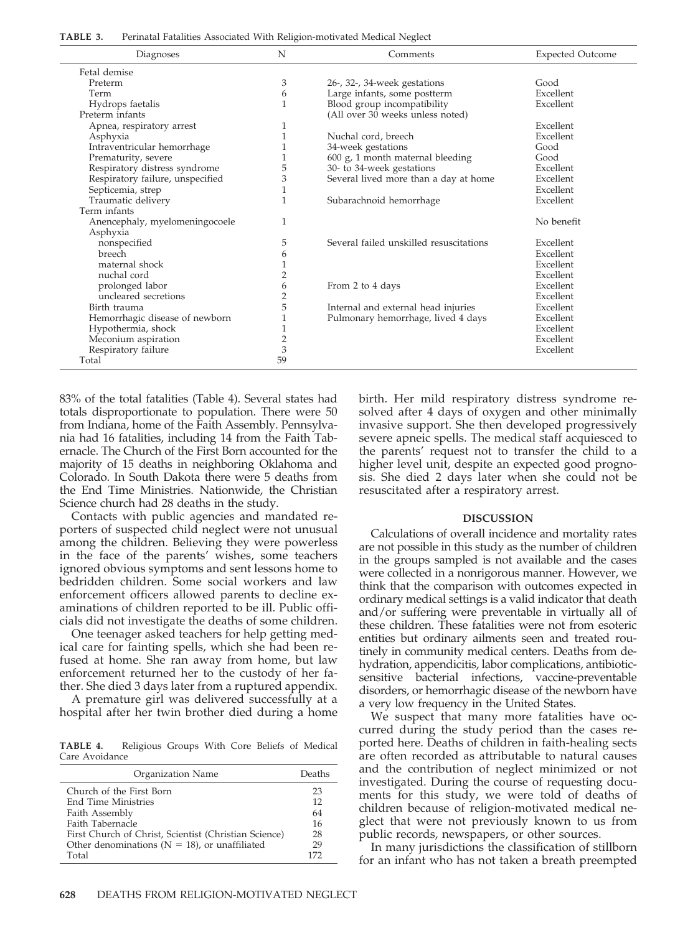| TABLE 3. |  | Perinatal Fatalities Associated With Religion-motivated Medical Neglect |  |  |  |
|----------|--|-------------------------------------------------------------------------|--|--|--|
|          |  |                                                                         |  |  |  |

| Diagnoses                        | N              | Comments                                | <b>Expected Outcome</b> |
|----------------------------------|----------------|-----------------------------------------|-------------------------|
| Fetal demise                     |                |                                         |                         |
| Preterm                          | 3              | 26-, 32-, 34-week gestations            | Good                    |
| Term                             | 6              | Large infants, some postterm            | Excellent               |
| Hydrops faetalis                 | 1              | Blood group incompatibility             | Excellent               |
| Preterm infants                  |                | (All over 30 weeks unless noted)        |                         |
| Apnea, respiratory arrest        | 1              |                                         | Excellent               |
| Asphyxia                         | 1              | Nuchal cord, breech                     | Excellent               |
| Intraventricular hemorrhage      |                | 34-week gestations                      | Good                    |
| Prematurity, severe              | 1              | 600 g, 1 month maternal bleeding        | Good                    |
| Respiratory distress syndrome    | 5              | 30- to 34-week gestations               | Excellent               |
| Respiratory failure, unspecified | 3              | Several lived more than a day at home   | Excellent               |
| Septicemia, strep                | $\overline{1}$ |                                         | Excellent               |
| Traumatic delivery               | $\mathbf{1}$   | Subarachnoid hemorrhage                 | Excellent               |
| Term infants                     |                |                                         |                         |
| Anencephaly, myelomeningocoele   | 1              |                                         | No benefit              |
| Asphyxia                         |                |                                         |                         |
| nonspecified                     | 5              | Several failed unskilled resuscitations | Excellent               |
| breech                           | 6              |                                         | Excellent               |
| maternal shock                   |                |                                         | Excellent               |
| nuchal cord                      | 2              |                                         | Excellent               |
| prolonged labor                  | 6              | From 2 to 4 days                        | Excellent               |
| uncleared secretions             | $\overline{c}$ |                                         | Excellent               |
| Birth trauma                     | 5              | Internal and external head injuries     | Excellent               |
| Hemorrhagic disease of newborn   | 1              | Pulmonary hemorrhage, lived 4 days      | Excellent               |
| Hypothermia, shock               | 1              |                                         | Excellent               |
| Meconium aspiration              | $\overline{c}$ |                                         | Excellent               |
| Respiratory failure              | 3              |                                         | Excellent               |
| Total                            | 59             |                                         |                         |

83% of the total fatalities (Table 4). Several states had totals disproportionate to population. There were 50 from Indiana, home of the Faith Assembly. Pennsylvania had 16 fatalities, including 14 from the Faith Tabernacle. The Church of the First Born accounted for the majority of 15 deaths in neighboring Oklahoma and Colorado. In South Dakota there were 5 deaths from the End Time Ministries. Nationwide, the Christian Science church had 28 deaths in the study.

Contacts with public agencies and mandated reporters of suspected child neglect were not unusual among the children. Believing they were powerless in the face of the parents' wishes, some teachers ignored obvious symptoms and sent lessons home to bedridden children. Some social workers and law enforcement officers allowed parents to decline examinations of children reported to be ill. Public officials did not investigate the deaths of some children.

One teenager asked teachers for help getting medical care for fainting spells, which she had been refused at home. She ran away from home, but law enforcement returned her to the custody of her father. She died 3 days later from a ruptured appendix.

A premature girl was delivered successfully at a hospital after her twin brother died during a home

**TABLE 4.** Religious Groups With Core Beliefs of Medical Care Avoidance

| Organization Name                                     | Deaths   |
|-------------------------------------------------------|----------|
| Church of the First Born                              | 23<br>12 |
| <b>End Time Ministries</b>                            |          |
| Faith Assembly                                        |          |
| Faith Tabernacle                                      |          |
| First Church of Christ, Scientist (Christian Science) |          |
| Other denominations ( $N = 18$ ), or unaffiliated     |          |
| Total                                                 | 172      |

birth. Her mild respiratory distress syndrome resolved after 4 days of oxygen and other minimally invasive support. She then developed progressively severe apneic spells. The medical staff acquiesced to the parents' request not to transfer the child to a higher level unit, despite an expected good prognosis. She died 2 days later when she could not be resuscitated after a respiratory arrest.

#### **DISCUSSION**

Calculations of overall incidence and mortality rates are not possible in this study as the number of children in the groups sampled is not available and the cases were collected in a nonrigorous manner. However, we think that the comparison with outcomes expected in ordinary medical settings is a valid indicator that death and/or suffering were preventable in virtually all of these children. These fatalities were not from esoteric entities but ordinary ailments seen and treated routinely in community medical centers. Deaths from dehydration, appendicitis, labor complications, antibioticsensitive bacterial infections, vaccine-preventable disorders, or hemorrhagic disease of the newborn have a very low frequency in the United States.

We suspect that many more fatalities have occurred during the study period than the cases reported here. Deaths of children in faith-healing sects are often recorded as attributable to natural causes and the contribution of neglect minimized or not investigated. During the course of requesting documents for this study, we were told of deaths of children because of religion-motivated medical neglect that were not previously known to us from public records, newspapers, or other sources.

In many jurisdictions the classification of stillborn for an infant who has not taken a breath preempted